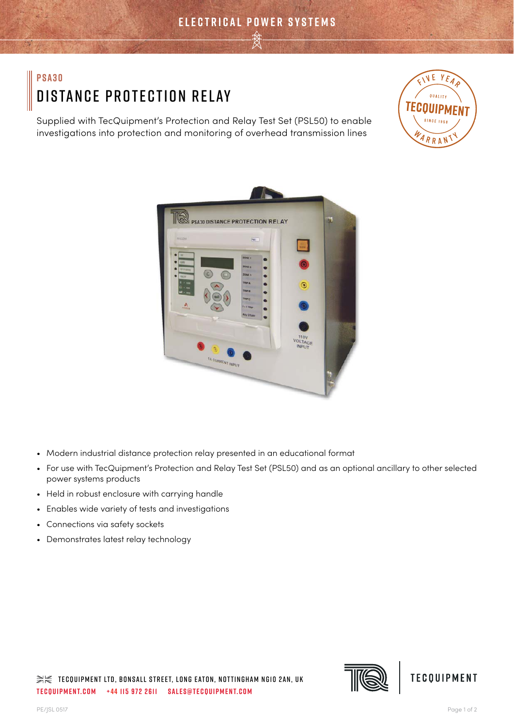# **PSA30** Distance Protection Relay

Supplied with TecQuipment's Protection and Relay Test Set (PSL50) to enable investigations into protection and monitoring of overhead transmission lines





- Modern industrial distance protection relay presented in an educational format
- For use with TecQuipment's Protection and Relay Test Set (PSL50) and as an optional ancillary to other selected power systems products
- Held in robust enclosure with carrying handle
- Enables wide variety of tests and investigations
- Connections via safety sockets
- Demonstrates latest relay technology